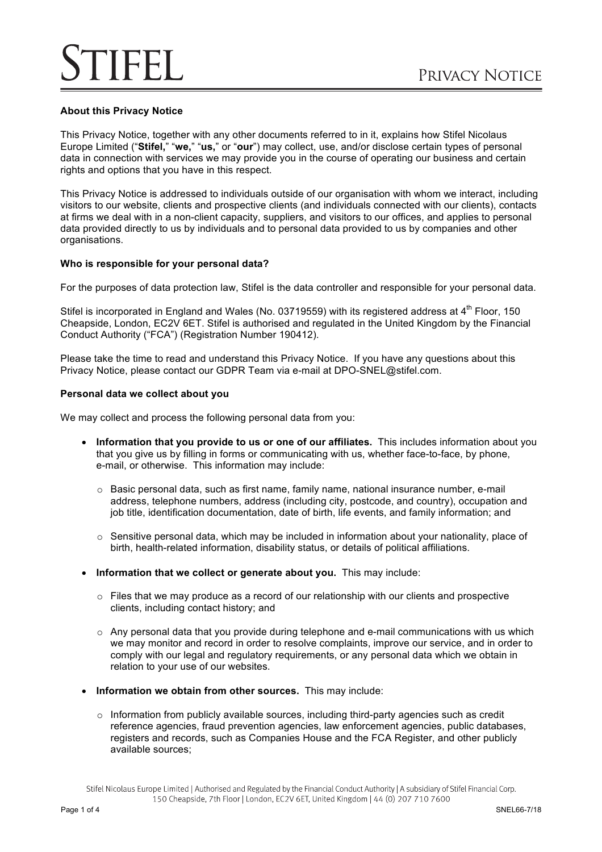## **About this Privacy Notice**

This Privacy Notice, together with any other documents referred to in it, explains how Stifel Nicolaus Europe Limited ("**Stifel,**" "**we,**" "**us,**" or "**our**") may collect, use, and/or disclose certain types of personal data in connection with services we may provide you in the course of operating our business and certain rights and options that you have in this respect.

This Privacy Notice is addressed to individuals outside of our organisation with whom we interact, including visitors to our website, clients and prospective clients (and individuals connected with our clients), contacts at firms we deal with in a non-client capacity, suppliers, and visitors to our offices, and applies to personal data provided directly to us by individuals and to personal data provided to us by companies and other organisations.

#### **Who is responsible for your personal data?**

For the purposes of data protection law, Stifel is the data controller and responsible for your personal data.

Stifel is incorporated in England and Wales (No. 03719559) with its registered address at 4<sup>th</sup> Floor, 150 Cheapside, London, EC2V 6ET. Stifel is authorised and regulated in the United Kingdom by the Financial Conduct Authority ("FCA") (Registration Number 190412).

Please take the time to read and understand this Privacy Notice. If you have any questions about this Privacy Notice, please contact our GDPR Team via e-mail at DPO-SNEL@stifel.com.

#### **Personal data we collect about you**

We may collect and process the following personal data from you:

- **Information that you provide to us or one of our affiliates.** This includes information about you that you give us by filling in forms or communicating with us, whether face-to-face, by phone, e-mail, or otherwise. This information may include:
	- $\circ$  Basic personal data, such as first name, family name, national insurance number, e-mail address, telephone numbers, address (including city, postcode, and country), occupation and job title, identification documentation, date of birth, life events, and family information; and
	- $\circ$  Sensitive personal data, which may be included in information about your nationality, place of birth, health-related information, disability status, or details of political affiliations.
- **Information that we collect or generate about you.** This may include:
	- $\circ$  Files that we may produce as a record of our relationship with our clients and prospective clients, including contact history; and
	- $\circ$  Any personal data that you provide during telephone and e-mail communications with us which we may monitor and record in order to resolve complaints, improve our service, and in order to comply with our legal and regulatory requirements, or any personal data which we obtain in relation to your use of our websites.
- **Information we obtain from other sources.** This may include:
	- $\circ$  Information from publicly available sources, including third-party agencies such as credit reference agencies, fraud prevention agencies, law enforcement agencies, public databases, registers and records, such as Companies House and the FCA Register, and other publicly available sources;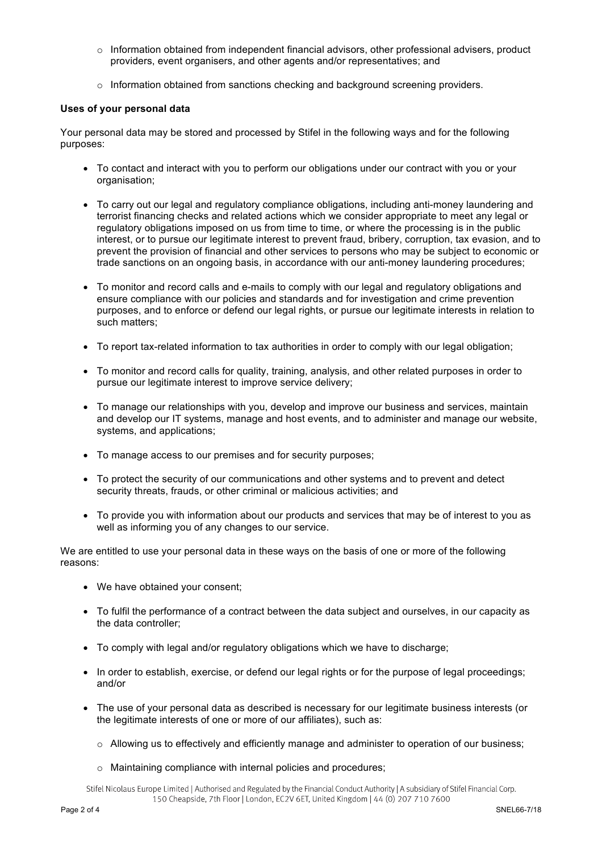- o Information obtained from independent financial advisors, other professional advisers, product providers, event organisers, and other agents and/or representatives; and
- $\circ$  Information obtained from sanctions checking and background screening providers.

## **Uses of your personal data**

Your personal data may be stored and processed by Stifel in the following ways and for the following purposes:

- To contact and interact with you to perform our obligations under our contract with you or your organisation;
- To carry out our legal and regulatory compliance obligations, including anti-money laundering and terrorist financing checks and related actions which we consider appropriate to meet any legal or regulatory obligations imposed on us from time to time, or where the processing is in the public interest, or to pursue our legitimate interest to prevent fraud, bribery, corruption, tax evasion, and to prevent the provision of financial and other services to persons who may be subject to economic or trade sanctions on an ongoing basis, in accordance with our anti-money laundering procedures;
- To monitor and record calls and e-mails to comply with our legal and regulatory obligations and ensure compliance with our policies and standards and for investigation and crime prevention purposes, and to enforce or defend our legal rights, or pursue our legitimate interests in relation to such matters;
- To report tax-related information to tax authorities in order to comply with our legal obligation;
- To monitor and record calls for quality, training, analysis, and other related purposes in order to pursue our legitimate interest to improve service delivery;
- To manage our relationships with you, develop and improve our business and services, maintain and develop our IT systems, manage and host events, and to administer and manage our website, systems, and applications;
- To manage access to our premises and for security purposes;
- To protect the security of our communications and other systems and to prevent and detect security threats, frauds, or other criminal or malicious activities; and
- To provide you with information about our products and services that may be of interest to you as well as informing you of any changes to our service.

We are entitled to use your personal data in these ways on the basis of one or more of the following reasons:

- We have obtained your consent;
- To fulfil the performance of a contract between the data subject and ourselves, in our capacity as the data controller;
- To comply with legal and/or regulatory obligations which we have to discharge;
- In order to establish, exercise, or defend our legal rights or for the purpose of legal proceedings; and/or
- The use of your personal data as described is necessary for our legitimate business interests (or the legitimate interests of one or more of our affiliates), such as:
	- $\circ$  Allowing us to effectively and efficiently manage and administer to operation of our business;
	- o Maintaining compliance with internal policies and procedures;

Stifel Nicolaus Europe Limited | Authorised and Regulated by the Financial Conduct Authority | A subsidiary of Stifel Financial Corp. 150 Cheapside, 7th Floor | London, EC2V 6ET, United Kingdom | 44 (0) 207 710 7600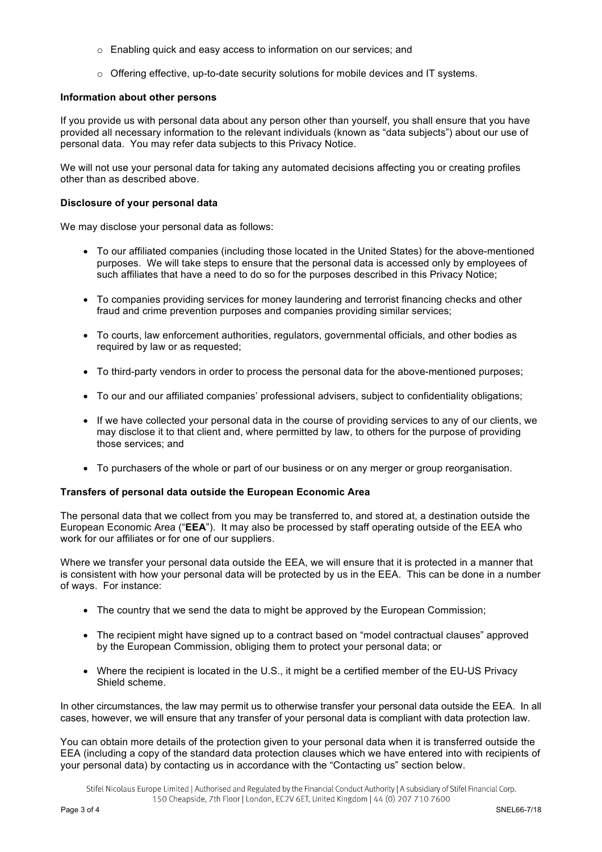- o Enabling quick and easy access to information on our services; and
- $\circ$  Offering effective, up-to-date security solutions for mobile devices and IT systems.

#### **Information about other persons**

If you provide us with personal data about any person other than yourself, you shall ensure that you have provided all necessary information to the relevant individuals (known as "data subjects") about our use of personal data. You may refer data subjects to this Privacy Notice.

We will not use your personal data for taking any automated decisions affecting you or creating profiles other than as described above.

#### **Disclosure of your personal data**

We may disclose your personal data as follows:

- To our affiliated companies (including those located in the United States) for the above-mentioned purposes. We will take steps to ensure that the personal data is accessed only by employees of such affiliates that have a need to do so for the purposes described in this Privacy Notice;
- To companies providing services for money laundering and terrorist financing checks and other fraud and crime prevention purposes and companies providing similar services;
- To courts, law enforcement authorities, regulators, governmental officials, and other bodies as required by law or as requested;
- To third-party vendors in order to process the personal data for the above-mentioned purposes;
- To our and our affiliated companies' professional advisers, subject to confidentiality obligations;
- If we have collected your personal data in the course of providing services to any of our clients, we may disclose it to that client and, where permitted by law, to others for the purpose of providing those services; and
- To purchasers of the whole or part of our business or on any merger or group reorganisation.

#### **Transfers of personal data outside the European Economic Area**

The personal data that we collect from you may be transferred to, and stored at, a destination outside the European Economic Area ("**EEA**"). It may also be processed by staff operating outside of the EEA who work for our affiliates or for one of our suppliers.

Where we transfer your personal data outside the EEA, we will ensure that it is protected in a manner that is consistent with how your personal data will be protected by us in the EEA. This can be done in a number of ways. For instance:

- The country that we send the data to might be approved by the European Commission;
- The recipient might have signed up to a contract based on "model contractual clauses" approved by the European Commission, obliging them to protect your personal data; or
- Where the recipient is located in the U.S., it might be a certified member of the EU-US Privacy Shield scheme.

In other circumstances, the law may permit us to otherwise transfer your personal data outside the EEA. In all cases, however, we will ensure that any transfer of your personal data is compliant with data protection law.

You can obtain more details of the protection given to your personal data when it is transferred outside the EEA (including a copy of the standard data protection clauses which we have entered into with recipients of your personal data) by contacting us in accordance with the "Contacting us" section below.